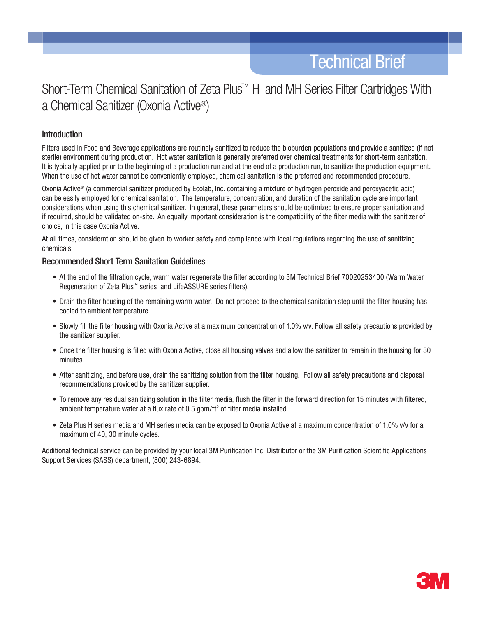# Short-Term Chemical Sanitation of Zeta Plus<sup>™</sup> H and MH Series Filter Cartridges With a Chemical Sanitizer (Oxonia Active®)

## **Introduction**

Filters used in Food and Beverage applications are routinely sanitized to reduce the bioburden populations and provide a sanitized (if not sterile) environment during production. Hot water sanitation is generally preferred over chemical treatments for short-term sanitation. It is typically applied prior to the beginning of a production run and at the end of a production run, to sanitize the production equipment. When the use of hot water cannot be conveniently employed, chemical sanitation is the preferred and recommended procedure.

Oxonia Active® (a commercial sanitizer produced by Ecolab, Inc. containing a mixture of hydrogen peroxide and peroxyacetic acid) can be easily employed for chemical sanitation. The temperature, concentration, and duration of the sanitation cycle are important considerations when using this chemical sanitizer. In general, these parameters should be optimized to ensure proper sanitation and if required, should be validated on-site. An equally important consideration is the compatibility of the filter media with the sanitizer of choice, in this case Oxonia Active.

At all times, consideration should be given to worker safety and compliance with local regulations regarding the use of sanitizing chemicals.

## Recommended Short Term Sanitation Guidelines

- At the end of the filtration cycle, warm water regenerate the filter according to 3M Technical Brief 70020253400 (Warm Water Regeneration of Zeta Plus™ series and LifeASSURE series filters).
- Drain the filter housing of the remaining warm water. Do not proceed to the chemical sanitation step until the filter housing has cooled to ambient temperature.
- Slowly fill the filter housing with Oxonia Active at a maximum concentration of 1.0% v/v. Follow all safety precautions provided by the sanitizer supplier.
- Once the filter housing is filled with Oxonia Active, close all housing valves and allow the sanitizer to remain in the housing for 30 minutes.
- After sanitizing, and before use, drain the sanitizing solution from the filter housing. Follow all safety precautions and disposal recommendations provided by the sanitizer supplier.
- • To remove any residual sanitizing solution in the filter media, flush the filter in the forward direction for 15 minutes with filtered, ambient temperature water at a flux rate of  $0.5$  gpm/ft<sup>2</sup> of filter media installed.
- Zeta Plus H series media and MH series media can be exposed to Oxonia Active at a maximum concentration of 1.0% v/v for a maximum of 40, 30 minute cycles.

Additional technical service can be provided by your local 3M Purification Inc. Distributor or the 3M Purification Scientific Applications Support Services (SASS) department, (800) 243-6894.